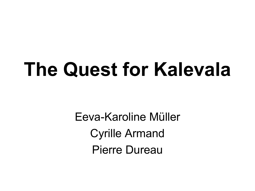# **The Quest for Kalevala**

Eeva-Karoline Müller Cyrille Armand Pierre Dureau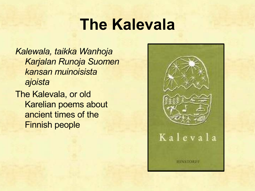#### **The Kalevala**

*Kalewala, taikka Wanhoja Karjalan Runoja Suomen kansan muinoisista ajoista*

The Kalevala, or old Karelian poems about ancient times of the Finnish people

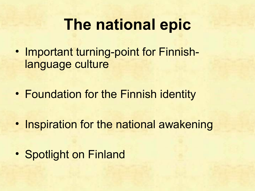#### **The national epic**

- Important turning-point for Finnishlanguage culture
- Foundation for the Finnish identity
- Inspiration for the national awakening
- Spotlight on Finland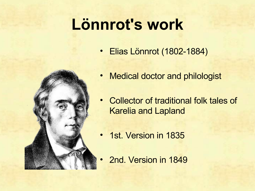# **Lönnrot's work**

• Elias Lönnrot (1802-1884)



- Medical doctor and philologist
- Collector of traditional folk tales of Karelia and Lapland
- 1st. Version in 1835
- 2nd. Version in 1849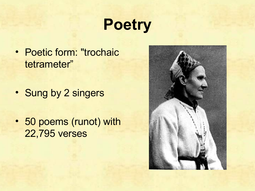## **Poetry**

- Poetic form: "trochaic tetrameter"
- Sung by 2 singers
- 50 poems (runot) with 22,795 verses

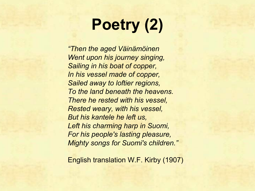# **Poetry (2)**

*"Then the aged Väinämöinen Went upon his journey singing, Sailing in his boat of copper, In his vessel made of copper, Sailed away to loftier regions, To the land beneath the heavens. There he rested with his vessel, Rested weary, with his vessel, But his kantele he left us, Left his charming harp in Suomi, For his people's lasting pleasure, Mighty songs for Suomi's children."*

English translation W.F. Kirby (1907)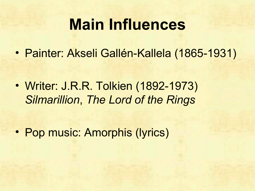#### **Main Influences**

• Painter: Akseli Gallén-Kallela (1865-1931)

• Writer: J.R.R. Tolkien (1892-1973) *Silmarillion*, *The Lord of the Rings*

• Pop music: Amorphis (lyrics)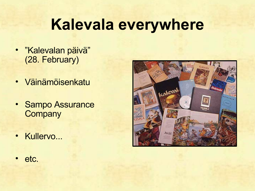### **Kalevala everywhere**

- "Kalevalan päivä" (28. February)
- Väinämöisenkatu
- Sampo Assurance **Company**
- Kullervo...



• etc.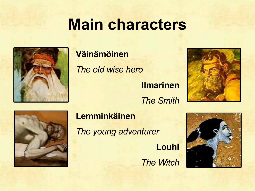#### **Main characters**



#### **Väinämöinen**

*The old wise hero* **Ilmarinen** *The Smith*





#### **Lemminkäinen**

*The young adventurer*

**Louhi** *The Witch*

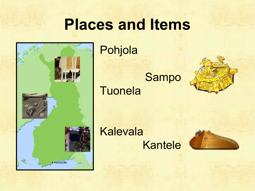#### **Places and Items**



Pohjola

Sampo **Tuonela** 



Kalevala Kantele

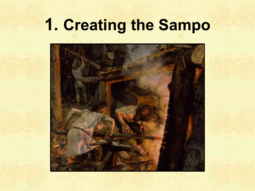# **1. Creating the Sampo**

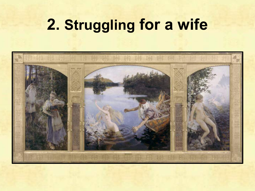#### **2. Struggling for a wife**

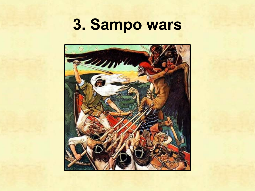### **3. Sampo wars**

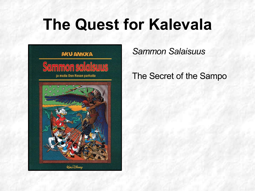## **The Quest for Kalevala**



*Sammon Salaisuus*

#### The Secret of the Sampo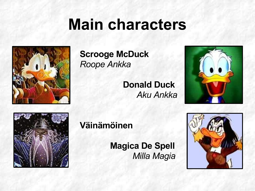#### **Main characters**



#### **Scrooge McDuck** *Roope Ankka*

**Donald Duck** *Aku Ankka*





#### **Väinämöinen**

**Magica De Spell** *Milla Magia*

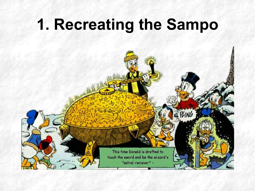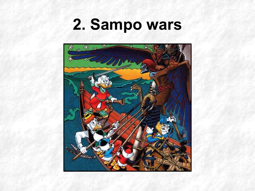#### **2. Sampo wars**

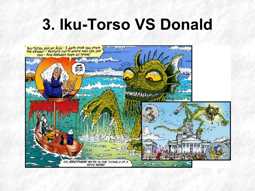## **3. Iku-Torso VS Donald**

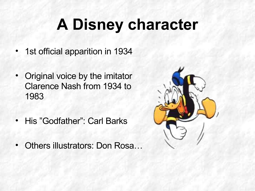# **A Disney character**

- 1st official apparition in 1934
- Original voice by the imitator Clarence Nash from 1934 to 1983
- His "Godfather": Carl Barks
- Others illustrators: Don Rosa…

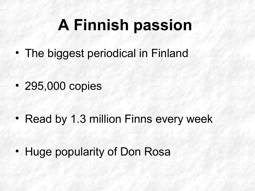# **A Finnish passion**

• The biggest periodical in Finland

• 295,000 copies

• Read by 1.3 million Finns every week

• Huge popularity of Don Rosa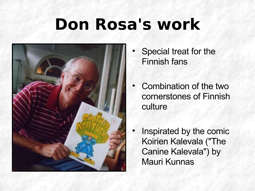### **Don Rosa's work**



- Special treat for the Finnish fans
- Combination of the two cornerstones of Finnish culture
- Inspirated by the comic Koirien Kalevala ("The Canine Kalevala") by Mauri Kunnas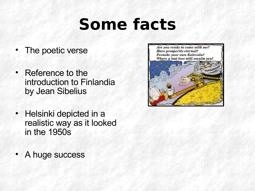## **Some facts**

- The poetic verse
- Reference to the introduction to Finlandia by Jean Sibelius
- Helsinki depicted in a realistic way as it looked in the 1950s
- A huge success